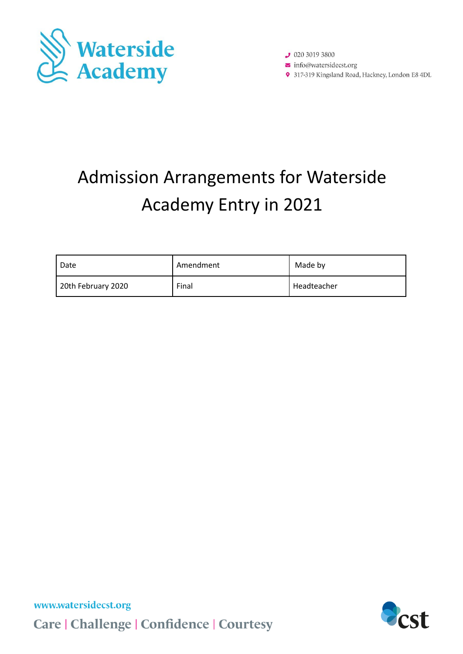

 $92030193800$  $\triangleright$  info@watersidecst.org 9 317-319 Kingsland Road, Hackney, London E8 4DL

# Admission Arrangements for Waterside Academy Entry in 2021

| Date               | Amendment | Made by       |
|--------------------|-----------|---------------|
| 20th February 2020 | Final     | l Headteacher |

www.watersidecst.org Care | Challenge | Confidence | Courtesy

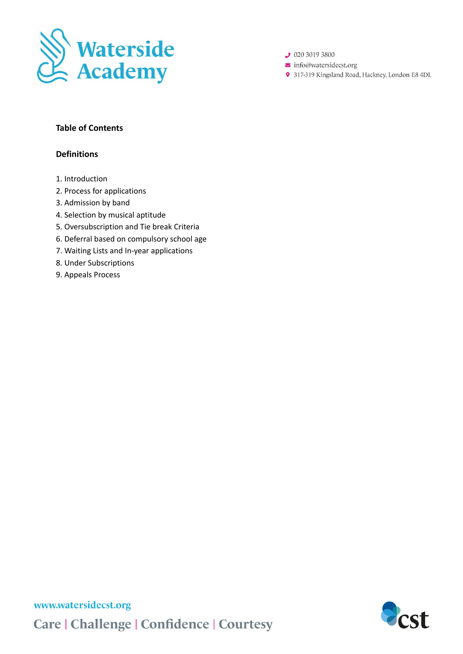

 $92030193800$ 

 $\triangleright$  info@watersidecst.org

9 317-319 Kingsland Road, Hackney, London E8 4DL

### **Table of Contents**

### **Definitions**

- 1. Introduction
- 2. Process for applications
- 3. Admission by band
- 4. Selection by musical aptitude
- 5. Oversubscription and Tie break Criteria
- 6. Deferral based on compulsory school age
- 7. Waiting Lists and In-year applications
- 8. Under Subscriptions
- 9. Appeals Process

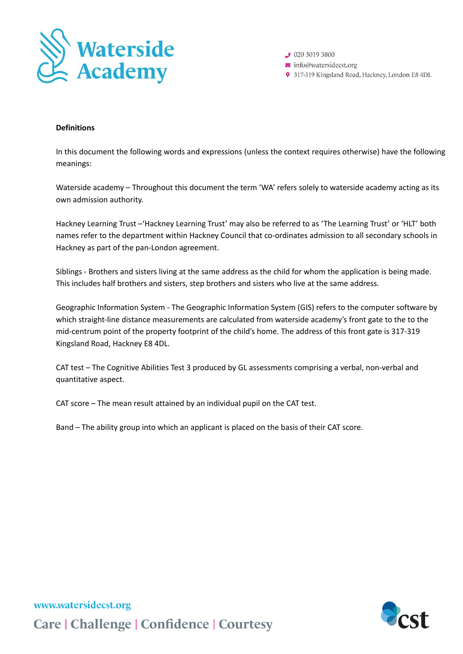

 $92030193800$  $\triangleright$  info@watersidecst.org

9 317-319 Kingsland Road, Hackney, London E8 4DL

#### **Definitions**

In this document the following words and expressions (unless the context requires otherwise) have the following meanings:

Waterside academy – Throughout this document the term 'WA' refers solely to waterside academy acting as its own admission authority.

Hackney Learning Trust –'Hackney Learning Trust' may also be referred to as 'The Learning Trust' or 'HLT' both names refer to the department within Hackney Council that co-ordinates admission to all secondary schools in Hackney as part of the pan-London agreement.

Siblings - Brothers and sisters living at the same address as the child for whom the application is being made. This includes half brothers and sisters, step brothers and sisters who live at the same address.

Geographic Information System - The Geographic Information System (GIS) refers to the computer software by which straight-line distance measurements are calculated from waterside academy's front gate to the to the mid-centrum point of the property footprint of the child's home. The address of this front gate is 317-319 Kingsland Road, Hackney E8 4DL.

CAT test – The Cognitive Abilities Test 3 produced by GL assessments comprising a verbal, non-verbal and quantitative aspect.

CAT score – The mean result attained by an individual pupil on the CAT test.

Band – The ability group into which an applicant is placed on the basis of their CAT score.

www.watersidecst.org **Care | Challenge | Confidence | Courtesy** 

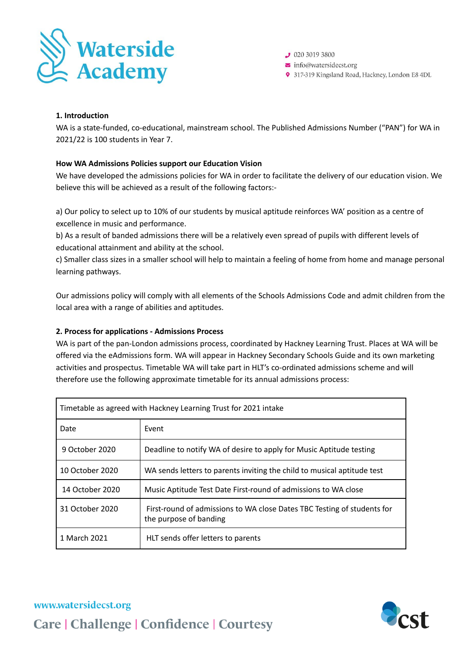

 $92030193800$ 

- $\triangleright$  info@watersidecst.org
- 9 317-319 Kingsland Road, Hackney, London E8 4DL

#### **1. Introduction**

WA is a state-funded, co-educational, mainstream school. The Published Admissions Number ("PAN") for WA in 2021/22 is 100 students in Year 7.

#### **How WA Admissions Policies support our Education Vision**

We have developed the admissions policies for WA in order to facilitate the delivery of our education vision. We believe this will be achieved as a result of the following factors:-

a) Our policy to select up to 10% of our students by musical aptitude reinforces WA' position as a centre of excellence in music and performance.

b) As a result of banded admissions there will be a relatively even spread of pupils with different levels of educational attainment and ability at the school.

c) Smaller class sizes in a smaller school will help to maintain a feeling of home from home and manage personal learning pathways.

Our admissions policy will comply with all elements of the Schools Admissions Code and admit children from the local area with a range of abilities and aptitudes.

#### **2. Process for applications - Admissions Process**

WA is part of the pan-London admissions process, coordinated by Hackney Learning Trust. Places at WA will be offered via the eAdmissions form. WA will appear in Hackney Secondary Schools Guide and its own marketing activities and prospectus. Timetable WA will take part in HLT's co-ordinated admissions scheme and will therefore use the following approximate timetable for its annual admissions process:

| Timetable as agreed with Hackney Learning Trust for 2021 intake |                                                                                                   |  |
|-----------------------------------------------------------------|---------------------------------------------------------------------------------------------------|--|
| Date                                                            | Event                                                                                             |  |
| 9 October 2020                                                  | Deadline to notify WA of desire to apply for Music Aptitude testing                               |  |
| 10 October 2020                                                 | WA sends letters to parents inviting the child to musical aptitude test                           |  |
| 14 October 2020                                                 | Music Aptitude Test Date First-round of admissions to WA close                                    |  |
| 31 October 2020                                                 | First-round of admissions to WA close Dates TBC Testing of students for<br>the purpose of banding |  |
| 1 March 2021                                                    | HLT sends offer letters to parents                                                                |  |

# www.watersidecst.org **Care | Challenge | Confidence | Courtesy**

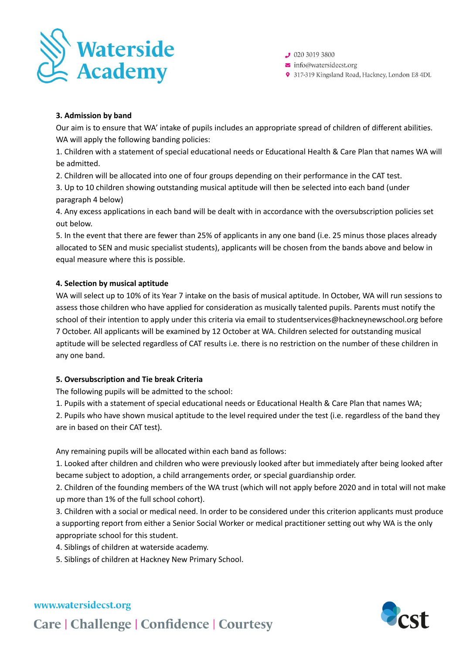

 $92030193800$ 

- $\triangleright$  info@watersidecst.org
- 9 317-319 Kingsland Road, Hackney, London E8 4DL

#### **3. Admission by band**

Our aim is to ensure that WA' intake of pupils includes an appropriate spread of children of different abilities. WA will apply the following banding policies:

1. Children with a statement of special educational needs or Educational Health & Care Plan that names WA will be admitted.

2. Children will be allocated into one of four groups depending on their performance in the CAT test.

3. Up to 10 children showing outstanding musical aptitude will then be selected into each band (under paragraph 4 below)

4. Any excess applications in each band will be dealt with in accordance with the oversubscription policies set out below.

5. In the event that there are fewer than 25% of applicants in any one band (i.e. 25 minus those places already allocated to SEN and music specialist students), applicants will be chosen from the bands above and below in equal measure where this is possible.

#### **4. Selection by musical aptitude**

WA will select up to 10% of its Year 7 intake on the basis of musical aptitude. In October, WA will run sessions to assess those children who have applied for consideration as musically talented pupils. Parents must notify the school of their intention to apply under this criteria via email to studentservices@hackneynewschool.org before 7 October. All applicants will be examined by 12 October at WA. Children selected for outstanding musical aptitude will be selected regardless of CAT results i.e. there is no restriction on the number of these children in any one band.

#### **5. Oversubscription and Tie break Criteria**

The following pupils will be admitted to the school:

1. Pupils with a statement of special educational needs or Educational Health & Care Plan that names WA;

2. Pupils who have shown musical aptitude to the level required under the test (i.e. regardless of the band they are in based on their CAT test).

Any remaining pupils will be allocated within each band as follows:

1. Looked after children and children who were previously looked after but immediately after being looked after became subject to adoption, a child arrangements order, or special guardianship order.

2. Children of the founding members of the WA trust (which will not apply before 2020 and in total will not make up more than 1% of the full school cohort).

3. Children with a social or medical need. In order to be considered under this criterion applicants must produce a supporting report from either a Senior Social Worker or medical practitioner setting out why WA is the only appropriate school for this student.

4. Siblings of children at waterside academy.

5. Siblings of children at Hackney New Primary School.

## www.watersidecst.org

**Care | Challenge | Confidence | Courtesy**